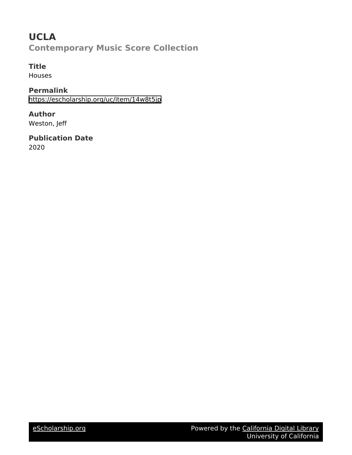## **UCLA Contemporary Music Score Collection**

### **Title**

Houses

### **Permalink**

<https://escholarship.org/uc/item/14w8t5jp>

### **Author** Weston, Jeff

### **Publication Date** 2020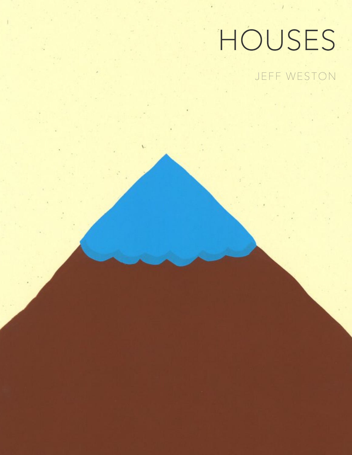# HOUSES

١.

JEFF WESTON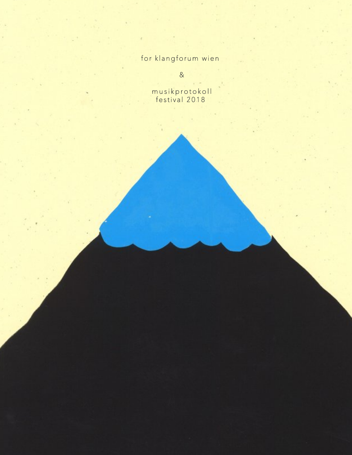## for klangforum wien

 $\&$ musikprotokoll<br>festival 2018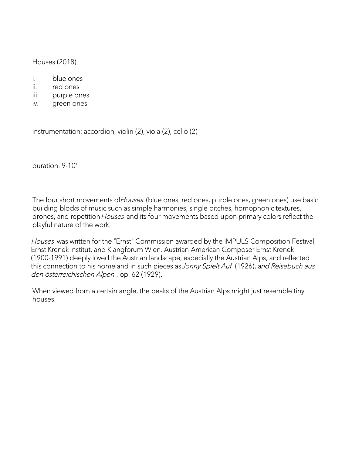#### Houses (2018)

- i. blue ones
- ii. red ones
- iii. purple ones
- iv. green ones

instrumentation: accordion, violin (2), viola (2), cello (2)

duration: 9-10'

The four short movements of *Houses* (blue ones, red ones, purple ones, green ones) use basic building blocks of music such as simple harmonies, single pitches, homophonic textures, drones, and repetition. Houses and its four movements based upon primary colors reflect the playful nature of the work.

Houses was written for the "Ernst" Commission awarded by the IMPULS Composition Festival, Ernst Krenek Institut, and Klangforum Wien. Austrian-American Composer Ernst Krenek (1900-1991) deeply loved the Austrian landscape, especially the Austrian Alps, and reflected this connection to his homeland in such pieces as Jonny Spielt Auf (1926), and Reisebuch aus den österreichischen Alpen , op. 62 (1929).

When viewed from a certain angle, the peaks of the Austrian Alps might just resemble tiny houses.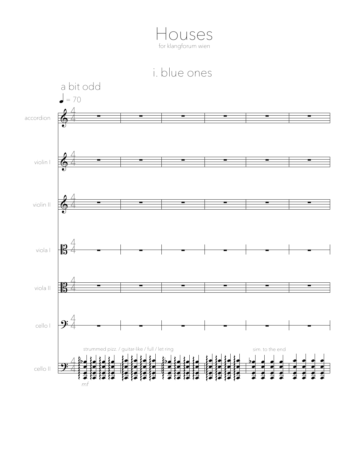



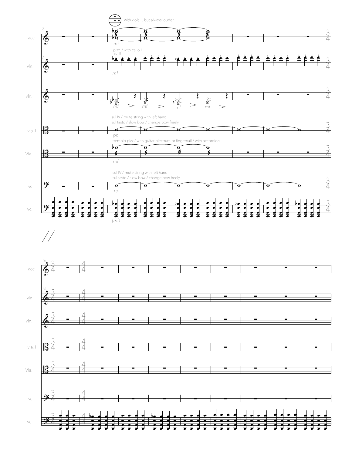

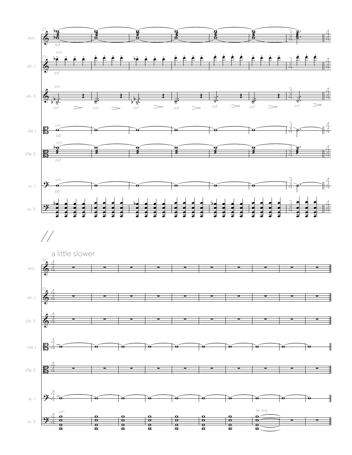



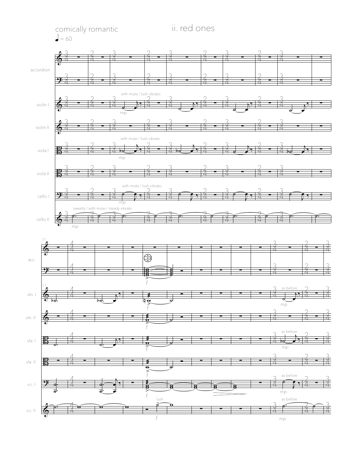comically romantic

### ii. red ones

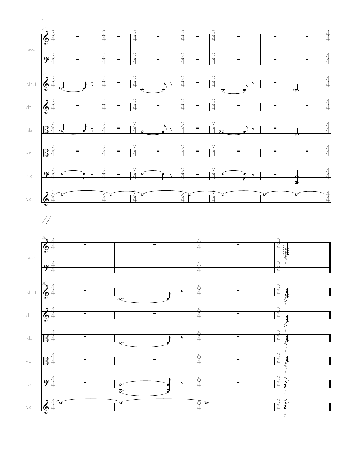



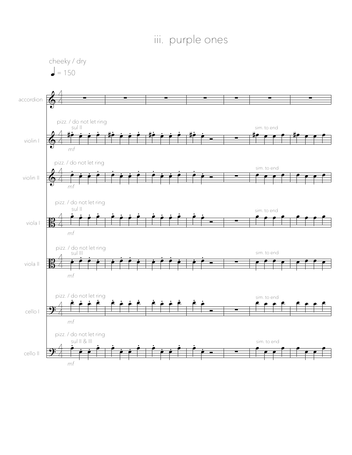## iii. purple ones

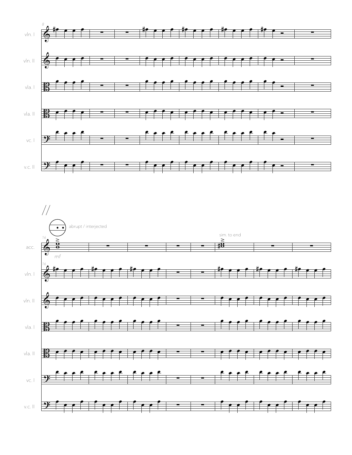

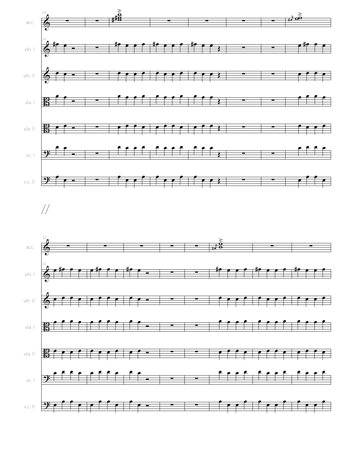



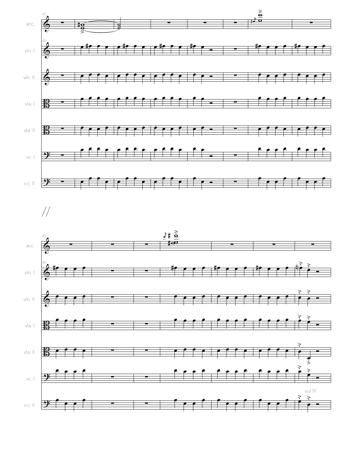



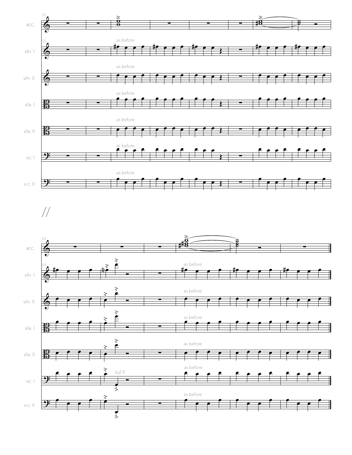

*//*

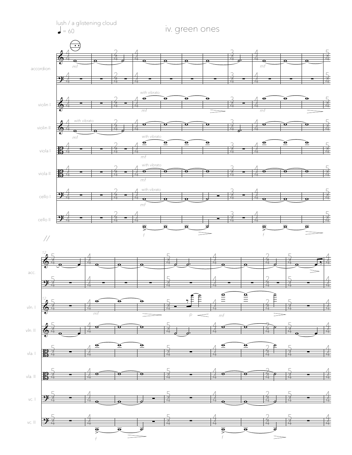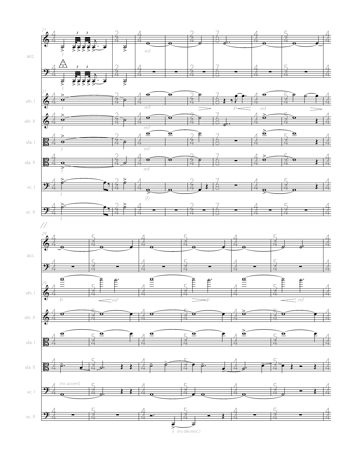